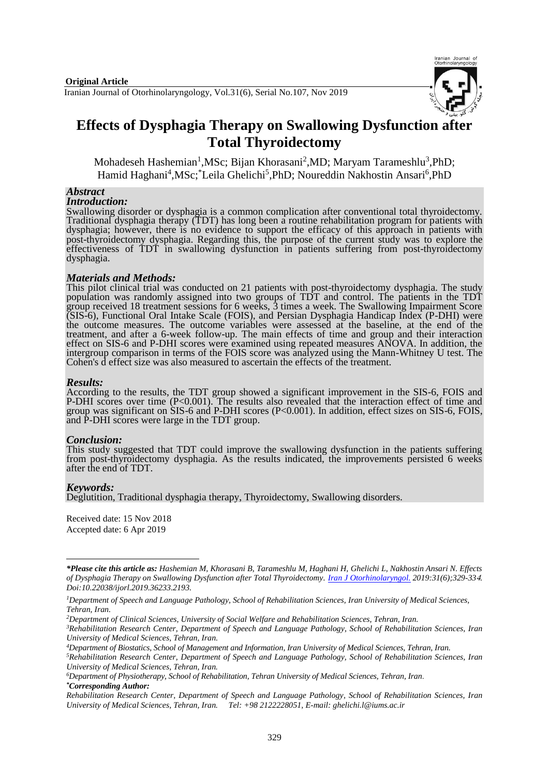

# **Effects of Dysphagia Therapy on Swallowing Dysfunction after Total Thyroidectomy**

Mohadeseh Hashemian<sup>1</sup>, MSc; Bijan Khorasani<sup>2</sup>, MD; Maryam Tarameshlu<sup>3</sup>, PhD; Hamid Haghani<sup>4</sup>, MSc; Leila Ghelichi<sup>5</sup>, PhD; Noureddin Nakhostin Ansari<sup>6</sup>, PhD

#### *Abstract*

*Introduction:*

Swallowing disorder or dysphagia is a common complication after conventional total thyroidectomy. Traditional dysphagia therapy (TDT) has long been a routine rehabilitation program for patients with dysphagia; however, there is no evidence to support the efficacy of this approach in patients with post-thyroidectomy dysphagia. Regarding this, the purpose of the current study was to explore the effectiveness of TDT in swallowing dysfunction in patients suffering from post-thyroidectomy dysphagia.

#### *Materials and Methods:*

This pilot clinical trial was conducted on 21 patients with post-thyroidectomy dysphagia. The study population was randomly assigned into two groups of TDT and control. The patients in the TDT group received 18 treatment sessions for 6 weeks, 3 times a week. The Swallowing Impairment Score (SIS-6), Functional Oral Intake Scale (FOIS), and Persian Dysphagia Handicap Index (P-DHI) were the outcome measures. The outcome variables were assessed at the baseline, at the end of the treatment, and after a 6-week follow-up. The main effects of time and group and their interaction effect on SIS-6 and P-DHI scores were examined using repeated measures ANOVA. In addition, the intergroup comparison in terms of the FOIS score was analyzed using the Mann-Whitney U test. The Cohen's d effect size was also measured to ascertain the effects of the treatment.

#### *Results:*

According to the results, the TDT group showed a significant improvement in the SIS-6, FOIS and P-DHI scores over time (P<0.001). The results also revealed that the interaction effect of time and group was significant on SIS-6 and P-DHI scores (P<0.001). In addition, effect sizes on SIS-6, FOIS, and P-DHI scores were large in the TDT group.

#### *Conclusion:*

This study suggested that TDT could improve the swallowing dysfunction in the patients suffering from post-thyroidectomy dysphagia. As the results indicated, the improvements persisted 6 weeks after the end of TDT.

#### *Keywords:*

1

Deglutition, Traditional dysphagia therapy, Thyroidectomy, Swallowing disorders.

Received date: 15 Nov 2018 Accepted date: 6 Apr 2019

*<sup>\*</sup>Please cite this article as: Hashemian M, Khorasani B, Tarameshlu M, Haghani H, Ghelichi L, Nakhostin Ansari N. Effects of Dysphagia Therapy on Swallowing Dysfunction after Total Thyroidectomy. [Iran J Otorhinolaryngol.](https://www.ncbi.nlm.nih.gov/pubmed/?term=Tri-layer+Tympanoplasty+as+a+New+Technique+in+High-risk+Tympanic+Membrane+Perforations) 2019:31(6);329-33*4*. Doi:10.22038/ijorl.2019.36233.2193.*

*<sup>1</sup>Department of Speech and Language Pathology, School of Rehabilitation Sciences, Iran University of Medical Sciences, Tehran, Iran.*

*<sup>2</sup>Department of Clinical Sciences, University of Social Welfare and Rehabilitation Sciences, Tehran, Iran.* 

*<sup>3</sup>Rehabilitation Research Center, Department of Speech and Language Pathology, School of Rehabilitation Sciences, Iran University of Medical Sciences, Tehran, Iran.*

*<sup>4</sup>Department of Biostatics, School of Management and Information, Iran University of Medical Sciences, Tehran, Iran.*

*<sup>5</sup>Rehabilitation Research Center, Department of Speech and Language Pathology, School of Rehabilitation Sciences, Iran University of Medical Sciences, Tehran, Iran.*

*<sup>6</sup>Department of Physiotherapy, School of Rehabilitation, Tehran University of Medical Sciences, Tehran, Iran*. *\*Corresponding Author:*

*Rehabilitation Research Center, Department of Speech and Language Pathology, School of Rehabilitation Sciences, Iran University of Medical Sciences, Tehran, Iran. Tel: +98 2122228051, E-mail: [ghelichi.l@iums.ac.ir](mailto:ghelichi.l@iums.ac.ir)*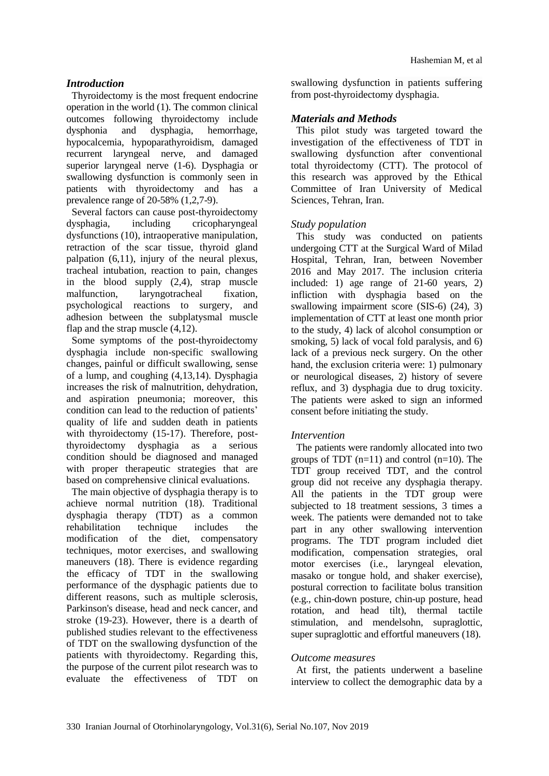# *Introduction*

Thyroidectomy is the most frequent endocrine operation in the world (1). The common clinical outcomes following thyroidectomy include dysphonia and dysphagia, hemorrhage, hypocalcemia, hypoparathyroidism, damaged recurrent laryngeal nerve, and damaged [superior laryngeal nerve](http://ionmworldcongress.com/wp-content/uploads/2013/11/INMSG-Standards-Guideline-Statement-EBSLN-Monitoring-in-Thyroid-and-Parathyroid-Surgery.pdf) (1-6). Dysphagia or swallowing dysfunction is commonly seen in patients with thyroidectomy and has a prevalence range of 20-58% (1,2,7-9).

Several factors can cause post-thyroidectomy dysphagia, including cricopharyngeal dysfunctions (10), intraoperative manipulation, retraction of the scar tissue, thyroid gland palpation (6,11), injury of the neural plexus, tracheal intubation, reaction to pain, changes in the blood supply (2,4), strap muscle malfunction, laryngotracheal fixation, psychological reactions to surgery, and adhesion between the subplatysmal muscle flap and the strap muscle (4,12).

Some symptoms of the post-thyroidectomy dysphagia include non-specific swallowing changes, painful or difficult swallowing, sense of a lump, and coughing (4,13,14). Dysphagia increases the risk of malnutrition, dehydration, and aspiration pneumonia; moreover, this condition can lead to the reduction of patients' quality of life and sudden death in patients with thyroidectomy (15-17). Therefore, postthyroidectomy dysphagia as a serious condition should be diagnosed and managed with proper therapeutic strategies that are based on comprehensive clinical evaluations.

The main objective of dysphagia therapy is to achieve normal nutrition (18). Traditional dysphagia therapy (TDT) as a common rehabilitation technique includes the modification of the diet, compensatory techniques, motor exercises, and swallowing maneuvers (18). There is evidence regarding the efficacy of TDT in the swallowing performance of the dysphagic patients due to different reasons, such as multiple sclerosis, Parkinson's disease, head and neck cancer, and stroke (19-23). However, there is a dearth of published studies relevant to the effectiveness of TDT on the swallowing dysfunction of the patients with thyroidectomy. Regarding this, the purpose of the current pilot research was to evaluate the effectiveness of TDT on

swallowing dysfunction in patients suffering from post-thyroidectomy dysphagia.

# *Materials and Methods*

This pilot study was targeted toward the investigation of the effectiveness of TDT in swallowing dysfunction after conventional total thyroidectomy (CTT). The protocol of this research was approved by the Ethical Committee of Iran University of Medical Sciences, Tehran, Iran.

# *Study population*

This study was conducted on patients undergoing CTT at the Surgical Ward of Milad Hospital, Tehran, Iran, between November 2016 and May 2017. The inclusion criteria included: 1) age range of 21-60 years, 2) infliction with dysphagia based on the swallowing impairment score (SIS-6) (24), 3) implementation of CTT at least one month prior to the study, 4) lack of alcohol consumption or smoking, 5) lack of vocal fold paralysis, and 6) lack of a previous neck surgery. On the other hand, the exclusion criteria were: 1) pulmonary or neurological diseases, 2) history of severe reflux, and 3) dysphagia due to drug toxicity. The patients were asked to sign an informed consent before initiating the study.

# *Intervention*

The patients were randomly allocated into two groups of TDT  $(n=11)$  and control  $(n=10)$ . The TDT group received TDT, and the control group did not receive any dysphagia therapy. All the patients in the TDT group were subjected to 18 treatment sessions, 3 times a week. The patients were demanded not to take part in any other swallowing intervention programs. The TDT program included diet modification, compensation strategies, oral motor exercises (i.e., laryngeal elevation, masako or tongue hold, and shaker exercise), postural correction to facilitate bolus transition (e.g., chin-down posture, chin-up posture, head rotation, and head tilt), thermal tactile stimulation, and mendelsohn, supraglottic, super supraglottic and effortful maneuvers (18).

# *Outcome measures*

At first, the patients underwent a baseline interview to collect the demographic data by a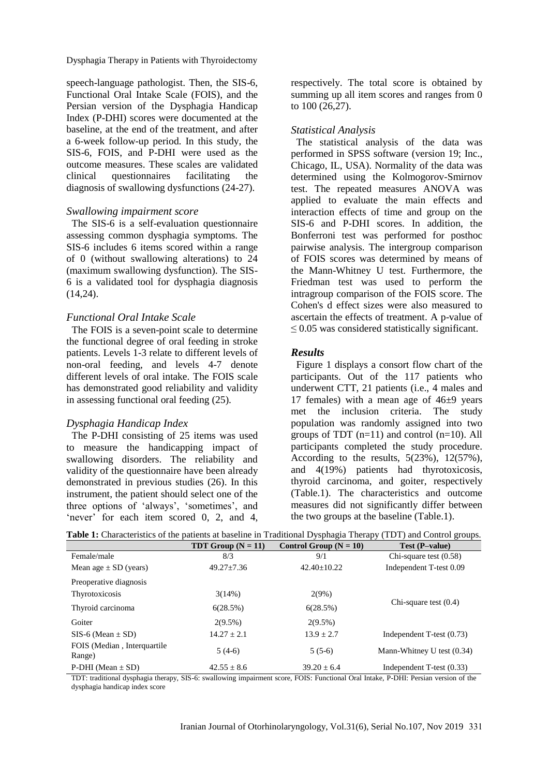Dysphagia Therapy in Patients with Thyroidectomy

speech-language pathologist. Then, the SIS-6, Functional Oral Intake Scale (FOIS), and the Persian version of the Dysphagia Handicap Index (P-DHI) scores were documented at the baseline, at the end of the treatment, and after a 6-week follow-up period. In this study, the SIS-6, FOIS, and P-DHI were used as the outcome measures. These scales are validated clinical questionnaires facilitating the diagnosis of swallowing dysfunctions (24-27).

#### *Swallowing impairment score*

The SIS-6 is a self-evaluation questionnaire assessing common dysphagia symptoms. The SIS-6 includes 6 items scored within a range of 0 (without swallowing alterations) to 24 (maximum swallowing dysfunction). The SIS-6 is a validated tool for dysphagia diagnosis (14,24).

#### *Functional Oral Intake Scale*

The FOIS is a seven-point scale to determine the functional degree of oral feeding in stroke patients. Levels 1-3 relate to different levels of non-oral feeding, and levels 4-7 denote different levels of oral intake. The FOIS scale has demonstrated good reliability and validity in assessing functional oral feeding (25).

#### *Dysphagia Handicap Index*

The P-DHI consisting of 25 items was used to measure the handicapping impact of swallowing disorders. The reliability and validity of the questionnaire have been already demonstrated in previous studies (26). In this instrument, the patient should select one of the three options of 'always', 'sometimes', and 'never' for each item scored 0, 2, and 4,

respectively. The total score is obtained by summing up all item scores and ranges from 0 to 100 (26,27).

#### *Statistical Analysis*

The statistical analysis of the data was performed in SPSS software (version 19; Inc., Chicago, IL, USA). Normality of the data was determined using the Kolmogorov-Smirnov test. The repeated measures ANOVA was applied to evaluate the main effects and interaction effects of time and group on the SIS-6 and P-DHI scores. In addition, the Bonferroni test was performed for posthoc pairwise analysis. The intergroup comparison of FOIS scores was determined by means of the Mann-Whitney U test. Furthermore, the Friedman test was used to perform the intragroup comparison of the FOIS score. The Cohen's d effect sizes were also measured to ascertain the effects of treatment. A p-value of  $\leq$  0.05 was considered statistically significant.

#### *Results*

Figure 1 displays a consort flow chart of the participants. Out of the 117 patients who underwent CTT, 21 patients (i.e., 4 males and 17 females) with a mean age of  $46\pm9$  years met the inclusion criteria. The study population was randomly assigned into two groups of TDT  $(n=11)$  and control  $(n=10)$ . All participants completed the study procedure. According to the results,  $5(23\%)$ ,  $12(57\%)$ , and 4(19%) patients had thyrotoxicosis, thyroid carcinoma, and goiter, respectively (Table.1). The characteristics and outcome measures did not significantly differ between the two groups at the baseline (Table.1).

|  |  | Table 1: Characteristics of the patients at baseline in Traditional Dysphagia Therapy (TDT) and Control groups. |  |  |  |  |  |  |  |
|--|--|-----------------------------------------------------------------------------------------------------------------|--|--|--|--|--|--|--|
|--|--|-----------------------------------------------------------------------------------------------------------------|--|--|--|--|--|--|--|

|                                       | TDT Group $(N = 11)$ | Control Group $(N = 10)$ | .<br>$\circ$<br>Test (P-value) |  |
|---------------------------------------|----------------------|--------------------------|--------------------------------|--|
| Female/male                           | 8/3                  | 9/1                      | Chi-square test $(0.58)$       |  |
| Mean age $\pm$ SD (years)             | $49.27 + 7.36$       | $42.40 + 10.22$          | Independent T-test 0.09        |  |
| Preoperative diagnosis                |                      |                          |                                |  |
| Thyrotoxicosis                        | 3(14%)               | $2(9\%)$                 | Chi-square test $(0.4)$        |  |
| Thyroid carcinoma                     | 6(28.5%)             | 6(28.5%)                 |                                |  |
| Goiter                                | $2(9.5\%)$           | $2(9.5\%)$               |                                |  |
| $SIS-6$ (Mean $\pm$ SD)               | $14.27 + 2.1$        | $13.9 + 2.7$             | Independent T-test $(0.73)$    |  |
| FOIS (Median, Interguartile<br>Range) | $5(4-6)$             | $5(5-6)$                 | Mann-Whitney U test $(0.34)$   |  |
| P-DHI (Mean $\pm$ SD)                 | $42.55 \pm 8.6$      | $39.20 \pm 6.4$          | Independent T-test (0.33)      |  |

TDT: traditional dysphagia therapy, SIS-6: swallowing impairment score, FOIS: Functional Oral Intake, P-DHI: Persian version of the dysphagia handicap index score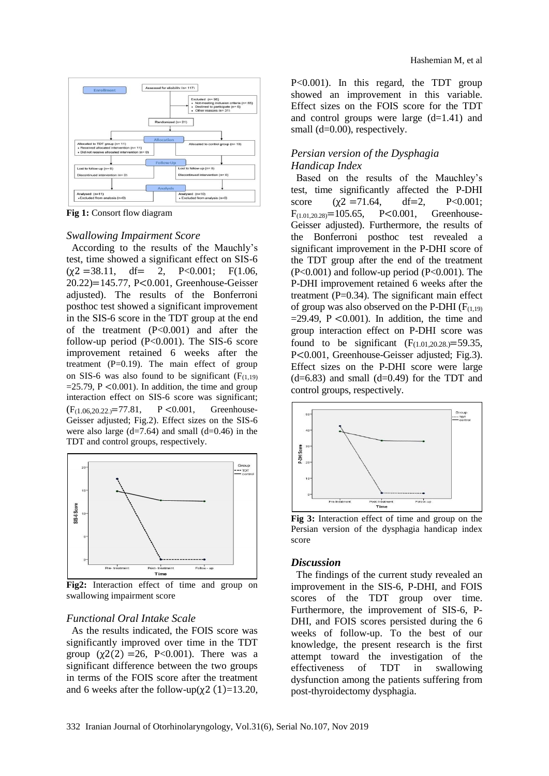

**Fig 1:** Consort flow diagram

#### *Swallowing Impairment Score*

According to the results of the Mauchly's test, time showed a significant effect on SIS-6  $(\gamma 2 = 38.11, \quad df = 2, \quad P < 0.001; \quad F(1.06,$ 20.22)=145.77, P<0.001, Greenhouse-Geisser adjusted). The results of the Bonferroni posthoc test showed a significant improvement in the SIS-6 score in the TDT group at the end of the treatment (P<0.001) and after the follow-up period (P<0.001). The SIS-6 score improvement retained 6 weeks after the treatment  $(P=0.19)$ . The main effect of group on SIS-6 was also found to be significant  $(F_{(1,19)})$  $=25.79$ , P < 0.001). In addition, the time and group interaction effect on SIS-6 score was significant;  $(F<sub>(1.06,20,22)</sub>=77.81, P < 0.001, Greenhouse-$ Geisser adjusted; Fig.2). Effect sizes on the SIS-6 were also large  $(d=7.64)$  and small  $(d=0.46)$  in the TDT and control groups, respectively.



**Fig2:** Interaction effect of time and group on swallowing impairment score

#### *Functional Oral Intake Scale*

As the results indicated, the FOIS score was significantly improved over time in the TDT group  $(\chi^2(2) = 26, P < 0.001)$ . There was a significant difference between the two groups in terms of the FOIS score after the treatment and 6 weeks after the follow-up( $\chi$ 2 (1)=13.20, P<0.001). In this regard, the TDT group showed an improvement in this variable. Effect sizes on the FOIS score for the TDT and control groups were large  $(d=1.41)$  and small (d=0.00), respectively.

### *Persian version of the Dysphagia Handicap Index*

Based on the results of the Mauchley's test, time significantly affected the P-DHI score  $(\chi^2 = 71.64, \text{ df} = 2, \text{ P} < 0.001;$  $F_{(1.01,20,28)}$ =105.65, P<0.001, Greenhouse-Geisser adjusted). Furthermore, the results of the Bonferroni posthoc test revealed a significant improvement in the P-DHI score of the TDT group after the end of the treatment  $(P<0.001)$  and follow-up period  $(P<0.001)$ . The P-DHI improvement retained 6 weeks after the treatment  $(P=0.34)$ . The significant main effect of group was also observed on the P-DHI  $(F<sub>(1,19)</sub>)$  $=29.49$ , P < 0.001). In addition, the time and group interaction effect on P-DHI score was found to be significant  $(F_{(1,01,20,28.)} = 59.35$ , P<0.001, Greenhouse-Geisser adjusted; Fig.3). Effect sizes on the P-DHI score were large  $(d=6.83)$  and small  $(d=0.49)$  for the TDT and control groups, respectively.



**Fig 3:** Interaction effect of time and group on the Persian version of the dysphagia handicap index score

#### *Discussion*

The findings of the current study revealed an improvement in the SIS-6, P-DHI, and FOIS scores of the TDT group over time. Furthermore, the improvement of SIS-6, P-DHI, and FOIS scores persisted during the 6 weeks of follow-up. To the best of our knowledge, the present research is the first attempt toward the investigation of the effectiveness of TDT in swallowing dysfunction among the patients suffering from post-thyroidectomy dysphagia.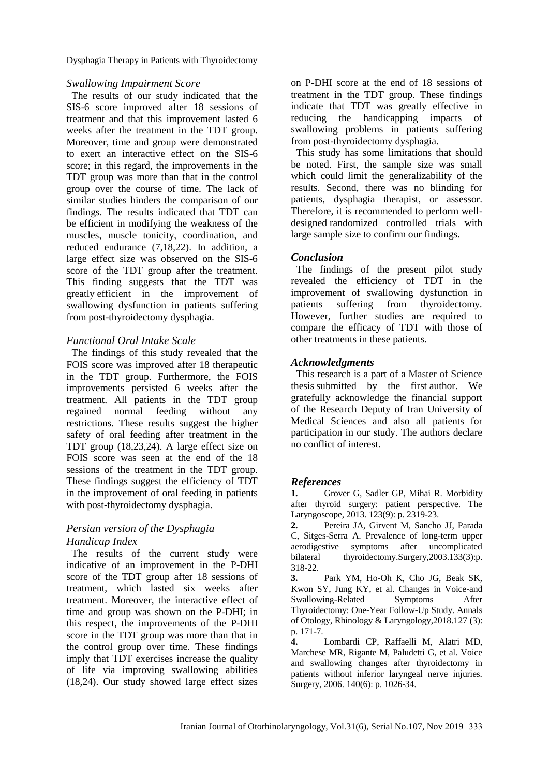Dysphagia Therapy in Patients with Thyroidectomy

### *Swallowing Impairment Score*

The results of our study indicated that the SIS-6 score improved after 18 sessions of treatment and that this improvement lasted 6 weeks after the treatment in the TDT group. Moreover, time and group were demonstrated to exert an interactive effect on the SIS-6 score; in this regard, the improvements in the TDT group was more than that in the control group over the course of time. The lack of similar studies hinders the comparison of our findings. The results indicated that TDT can be efficient in modifying the weakness of the muscles, muscle tonicity, coordination, and reduced endurance (7,18,22). In addition, a large effect size was observed on the SIS-6 score of the TDT group after the treatment. This finding suggests that the TDT was greatly efficient in the improvement of swallowing dysfunction in patients suffering from post-thyroidectomy dysphagia.

## *Functional Oral Intake Scale*

The findings of this study revealed that the FOIS score was improved after 18 therapeutic in the TDT group. Furthermore, the FOIS improvements persisted 6 weeks after the treatment. All patients in the TDT group regained normal feeding without any restrictions. These results suggest the higher safety of oral feeding after treatment in the TDT group (18,23,24). A large effect size on FOIS score was seen at the end of the 18 sessions of the treatment in the TDT group. These findings suggest the efficiency of TDT in the improvement of oral feeding in patients with post-thyroidectomy dysphagia.

# *Persian version of the Dysphagia Handicap Index*

The results of the current study were indicative of an improvement in the P-DHI score of the TDT group after 18 sessions of treatment, which lasted six weeks after treatment. Moreover, the interactive effect of time and group was shown on the P-DHI; in this respect, the improvements of the P-DHI score in the TDT group was more than that in the control group over time. These findings imply that TDT exercises increase the quality of life via improving swallowing abilities (18,24). Our study showed large effect sizes

on P-DHI score at the end of 18 sessions of treatment in the TDT group. These findings indicate that TDT was greatly effective in reducing the handicapping impacts of swallowing problems in patients suffering from post-thyroidectomy dysphagia.

This study has some limitations that should be noted. First, the sample size was small which could limit the generalizability of the results. Second, there was no blinding for patients, dysphagia therapist, or assessor. Therefore, it is recommended to perform welldesigned randomized controlled trials with large sample size to confirm our findings.

# *Conclusion*

The findings of the present pilot study revealed the efficiency of TDT in the improvement of swallowing dysfunction in patients suffering from thyroidectomy. However, further studies are required to compare the efficacy of TDT with those of other treatments in these patients.

## *Acknowledgments*

This research is a part of a Master of Science thesis submitted by the first author. We gratefully acknowledge the financial support of the Research Deputy of Iran University of Medical Sciences and also all patients for participation in our study. The authors declare no conflict of interest.

# *References*

**1.** Grover G, Sadler GP, Mihai R. Morbidity after thyroid surgery: patient perspective. The Laryngoscope, 2013. 123(9): p. 2319-23.

**2.** Pereira JA, Girvent M, Sancho JJ, Parada C, Sitges-Serra A. Prevalence of long-term upper aerodigestive symptoms after uncomplicated bilateral thyroidectomy.Surgery,2003.133(3):p. 318-22.

**3.** Park YM, Ho-Oh K, Cho JG, Beak SK, Kwon SY, Jung KY, et al. Changes in Voice-and Swallowing-Related Symptoms After Thyroidectomy: One-Year Follow-Up Study. Annals of Otology, Rhinology & Laryngology,2018.127 (3): p. 171-7.

**4.** Lombardi CP, Raffaelli M, Alatri MD, Marchese MR, Rigante M, Paludetti G, et al. Voice and swallowing changes after thyroidectomy in patients without inferior laryngeal nerve injuries. Surgery, 2006. 140(6): p. 1026-34.